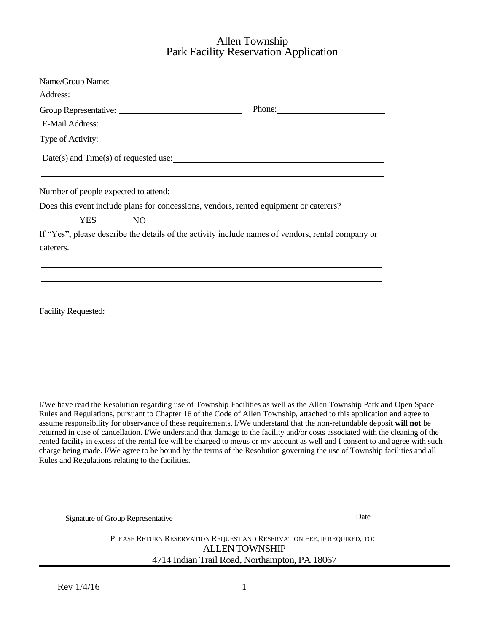### Allen Township Park Facility Reservation Application

|                                      |    | Phone:                                                                                                         |
|--------------------------------------|----|----------------------------------------------------------------------------------------------------------------|
|                                      |    |                                                                                                                |
|                                      |    | Type of Activity:                                                                                              |
|                                      |    | Date(s) and Time(s) of requested use:                                                                          |
|                                      |    | ,我们也不会有什么。""我们的人,我们也不会有什么?""我们的人,我们也不会有什么?""我们的人,我们也不会有什么?""我们的人,我们也不会有什么?""我们的人                               |
| Number of people expected to attend: |    |                                                                                                                |
|                                      |    | Does this event include plans for concessions, vendors, rented equipment or caterers?                          |
| YES.                                 | NO |                                                                                                                |
|                                      |    | If "Yes", please describe the details of the activity include names of vendors, rental company or<br>caterers. |
|                                      |    |                                                                                                                |
|                                      |    |                                                                                                                |
|                                      |    |                                                                                                                |
|                                      |    |                                                                                                                |

I/We have read the Resolution regarding use of Township Facilities as well as the Allen Township Park and Open Space Rules and Regulations, pursuant to Chapter 16 of the Code of Allen Township, attached to this application and agree to assume responsibility for observance of these requirements. I/We understand that the non-refundable deposit **will not** be returned in case of cancellation. I/We understand that damage to the facility and/or costs associated with the cleaning of the rented facility in excess of the rental fee will be charged to me/us or my account as well and I consent to and agree with such charge being made. I/We agree to be bound by the terms of the Resolution governing the use of Township facilities and all Rules and Regulations relating to the facilities.

Signature of Group Representative

Date

PLEASE RETURN RESERVATION REQUEST AND RESERVATION FEE, IF REQUIRED, TO: ALLEN TOWNSHIP 4714 Indian Trail Road, Northampton, PA 18067

Facility Requested: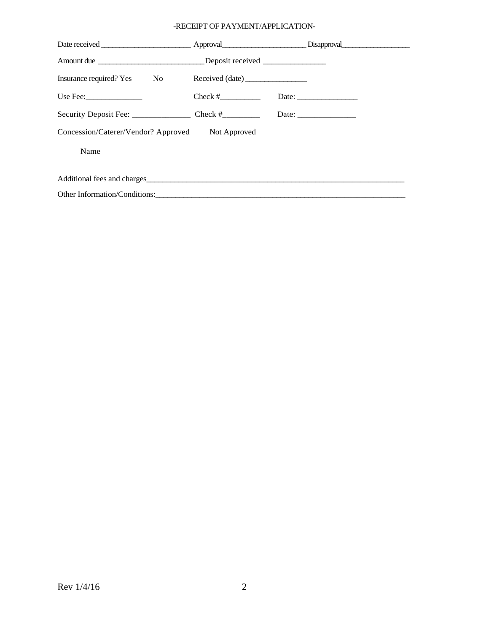### -RECEIPT OF PAYMENT/APPLICATION-

| Disapproval Disapproval Disapproval Disapproval Disapproval Disapproval Disapproval Disapproval Disapproval Disapproval Disapproval Disapproval Disapproval Disapproval Disapproval Disapproval Disapproval Disapproval Disapp |                 |  |  |  |
|--------------------------------------------------------------------------------------------------------------------------------------------------------------------------------------------------------------------------------|-----------------|--|--|--|
| Amount due _________________________________Deposit received ___________________                                                                                                                                               |                 |  |  |  |
| Insurance required? Yes No                                                                                                                                                                                                     | Received (date) |  |  |  |
| Use Fee: $\frac{1}{2}$                                                                                                                                                                                                         | $Check # \_$    |  |  |  |
|                                                                                                                                                                                                                                |                 |  |  |  |
| Concession/Caterer/Vendor? Approved<br>Not Approved                                                                                                                                                                            |                 |  |  |  |
| Name                                                                                                                                                                                                                           |                 |  |  |  |
| Additional fees and charges experience and the state of the state of the state of the state of the state of the state of the state of the state of the state of the state of the state of the state of the state of the state  |                 |  |  |  |
| Other Information/Conditions:                                                                                                                                                                                                  |                 |  |  |  |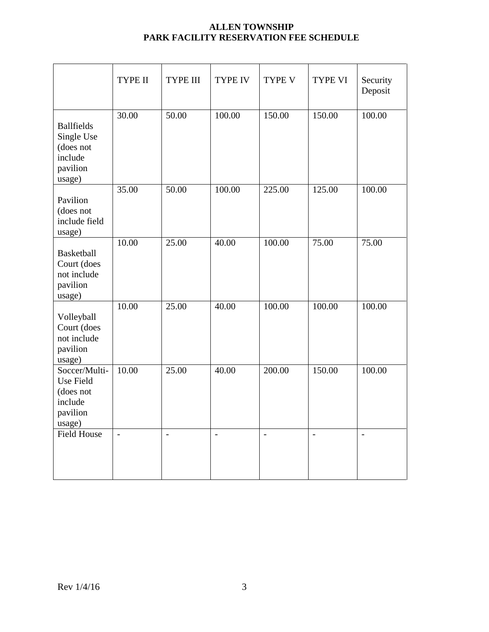### **ALLEN TOWNSHIP PARK FACILITY RESERVATION FEE SCHEDULE**

|                                                                               | TYPE II        | <b>TYPE III</b> | <b>TYPE IV</b> | <b>TYPE V</b>  | TYPE VI        | Security<br>Deposit |
|-------------------------------------------------------------------------------|----------------|-----------------|----------------|----------------|----------------|---------------------|
| <b>Ballfields</b><br>Single Use<br>(does not<br>include<br>pavilion<br>usage) | 30.00          | 50.00           | 100.00         | 150.00         | 150.00         | 100.00              |
| Pavilion<br>(does not<br>include field<br>usage)                              | 35.00          | 50.00           | 100.00         | 225.00         | 125.00         | 100.00              |
| <b>Basketball</b><br>Court (does<br>not include<br>pavilion<br>usage)         | 10.00          | 25.00           | 40.00          | 100.00         | 75.00          | 75.00               |
| Volleyball<br>Court (does<br>not include<br>pavilion<br>usage)                | 10.00          | 25.00           | 40.00          | 100.00         | 100.00         | 100.00              |
| Soccer/Multi-<br>Use Field<br>(does not<br>include<br>pavilion<br>usage)      | 10.00          | 25.00           | 40.00          | 200.00         | 150.00         | 100.00              |
| <b>Field House</b>                                                            | $\overline{a}$ | $\overline{a}$  | $\overline{a}$ | $\overline{a}$ | $\overline{a}$ | $\overline{a}$      |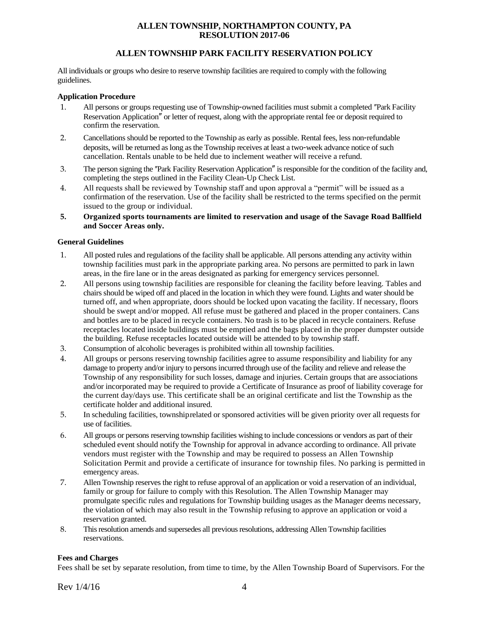### **ALLEN TOWNSHIP, NORTHAMPTON COUNTY, PA RESOLUTION 2017-06**

### **ALLEN TOWNSHIP PARK FACILITY RESERVATION POLICY**

All individuals or groups who desire to reserve township facilities are required to comply with the following guidelines.

#### **Application Procedure**

- 1. All persons or groups requesting use of Township-owned facilities must submit a completed "Park Facility" Reservation Application<sup>"</sup> or letter of request, along with the appropriate rental fee or deposit required to confirm the reservation.
- 2. Cancellations should be reported to the Township as early as possible. Rental fees, less non-refundable deposits, will be returned as long as the Township receives at least a two‐week advance notice of such cancellation. Rentals unable to be held due to inclement weather will receive a refund.
- 3. The person signing the "Park Facility Reservation Application" is responsible for the condition of the facility and, completing the steps outlined in the Facility Clean-Up Check List.
- 4. All requests shall be reviewed by Township staff and upon approval a "permit" will be issued as a confirmation of the reservation. Use of the facility shall be restricted to the terms specified on the permit issued to the group or individual.
- **5. Organized sports tournaments are limited to reservation and usage of the Savage Road Ballfield and Soccer Areas only.**

#### **General Guidelines**

- 1. All posted rules and regulations of the facility shall be applicable. All persons attending any activity within township facilities must park in the appropriate parking area. No persons are permitted to park in lawn areas, in the fire lane or in the areas designated as parking for emergency services personnel.
- 2. All persons using township facilities are responsible for cleaning the facility before leaving. Tables and chairs should be wiped off and placed in the location in which they were found. Lights and water should be turned off, and when appropriate, doors should be locked upon vacating the facility. If necessary, floors should be swept and/or mopped. All refuse must be gathered and placed in the proper containers. Cans and bottles are to be placed in recycle containers. No trash is to be placed in recycle containers. Refuse receptacles located inside buildings must be emptied and the bags placed in the proper dumpster outside the building. Refuse receptacles located outside will be attended to by township staff.
- 3. Consumption of alcoholic beverages is prohibited within all township facilities.
- 4. All groups or persons reserving township facilities agree to assume responsibility and liability for any damage to property and/or injury to persons incurred through use of the facility and relieve and release the Township of any responsibility for such losses, damage and injuries. Certain groups that are associations and/or incorporated may be required to provide a Certificate of Insurance as proof of liability coverage for the current day/days use. This certificate shall be an original certificate and list the Township as the certificate holder and additional insured.
- 5. In scheduling facilities, township-related or sponsored activities will be given priority over all requests for use of facilities.
- 6. All groups or persons reserving township facilities wishing to include concessions or vendors as part of their scheduled event should notify the Township for approval in advance according to ordinance. All private vendors must register with the Township and may be required to possess an Allen Township Solicitation Permit and provide a certificate of insurance for township files. No parking is permitted in emergency areas.
- 7. Allen Township reserves the right to refuse approval of an application or void a reservation of an individual, family or group for failure to comply with this Resolution. The Allen Township Manager may promulgate specific rules and regulations for Township building usages as the Manager deems necessary, the violation of which may also result in the Township refusing to approve an application or void a reservation granted.
- 8. This resolution amends and supersedes all previous resolutions, addressing Allen Township facilities reservations.

#### **Fees and Charges**

Fees shall be set by separate resolution, from time to time, by the Allen Township Board of Supervisors. For the

 $\text{Rev } 1/4/16$  4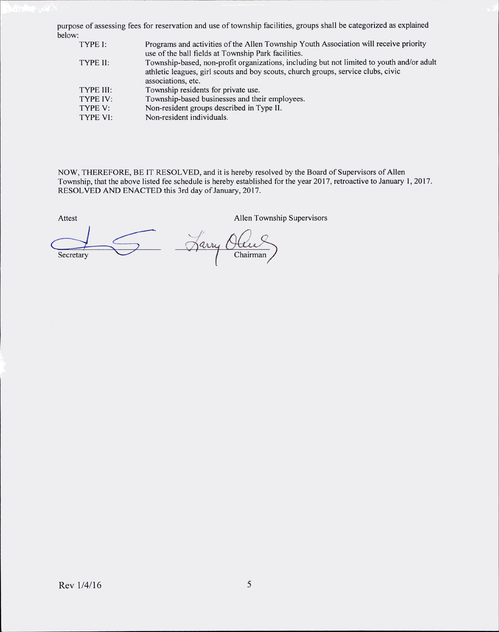purpose of assessing fees for reservation and use of township facilities, groups shall be categorized as explained below:

| TYPE I:   | Programs and activities of the Allen Township Youth Association will receive priority     |
|-----------|-------------------------------------------------------------------------------------------|
|           | use of the ball fields at Township Park facilities.                                       |
| TYPE II:  | Township-based, non-profit organizations, including but not limited to youth and/or adult |
|           | athletic leagues, girl scouts and boy scouts, church groups, service clubs, civic         |
|           | associations, etc.                                                                        |
| TYPE III: | Township residents for private use.                                                       |
| TYPE IV:  | Township-based businesses and their employees.                                            |
| TYPE V:   | Non-resident groups described in Type II.                                                 |
| TYPE VI:  | Non-resident individuals.                                                                 |
|           |                                                                                           |

NOW, THEREFORE, BE IT RESOLVED, and it is hereby resolved by the Board of Supervisors of Allen Township, that the above listed fee schedule is hereby established for the year 2017, retroactive to January 1, 2017. RESOLVED AND ENACTED this 3rd day of January, 2017.

Attest Allen Township Supervisors Jarry Ola Chairman Secretary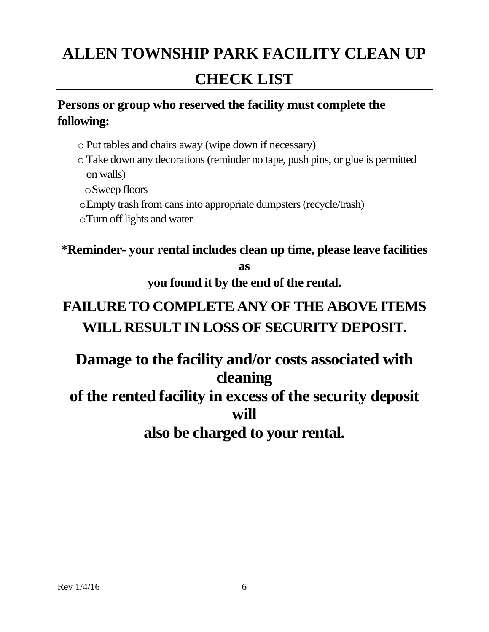# **ALLEN TOWNSHIP PARK FACILITY CLEAN UP CHECK LIST**

## **Persons or group who reserved the facility must complete the following:**

- o Put tables and chairs away (wipe down if necessary)
- o Take down any decorations (reminder no tape, push pins, or glue is permitted on walls)
	- oSweep floors
- oEmpty trash from cans into appropriate dumpsters (recycle/trash)
- oTurn off lights and water

## **\*Reminder**‐ **your rental includes clean up time, please leave facilities as**

**you found it by the end of the rental.**

# **FAILURE TO COMPLETE ANY OF THE ABOVE ITEMS WILL RESULT IN LOSS OF SECURITY DEPOSIT.**

# **Damage to the facility and/or costs associated with cleaning**

# **of the rented facility in excess of the security deposit will**

# **also be charged to your rental.**